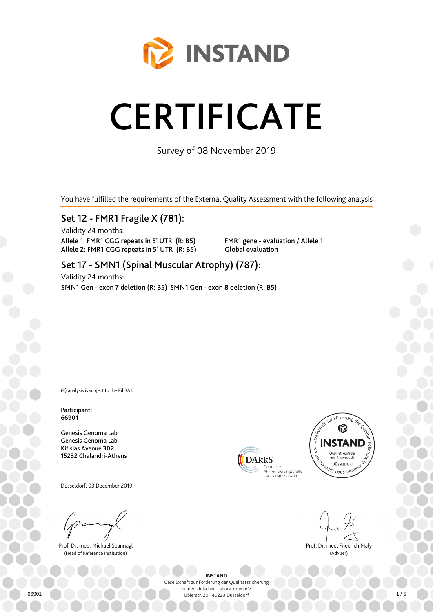

# **CERTIFICATE**

Survey of 08 November 2019

You have fulfilled the requirements of the External Quality Assessment with the following analysis

### Set 12 - FMR1 Fragile X (781):

Validity 24 months: Allele 1: FMR1 CGG repeats in 5' UTR (R: B5) Allele 2: FMR1 CGG repeats in 5' UTR (R: B5)

FMR1 gene - evaluation / Allele 1 Global evaluation

## Set 17 - SMN1 (Spinal Muscular Atrophy) (787):

Validity 24 months: SMN1 Gen - exon 7 deletion (R: B5) SMN1 Gen - exon 8 deletion (R: B5)

(R) analysis is subject to the RiliBÄK

Participant: 66901

Genesis Genoma Lab Genesis Genoma Lab Kifisias Avenue 302 15232 Chalandri-Athens

Düsseldorf, 03 December 2019

Prof. Dr. med. Michael Spannagl (Head of Reference Institution)





Prof. Dr. med. Friedrich Maly (Adviser)

INSTAND Gesellschaft zur Förderung der Qualitätssicherung

in medizinischen Laboratorien e.V. Ubierstr. 20 | 40223 Düsseldorf 66901 1 / 5